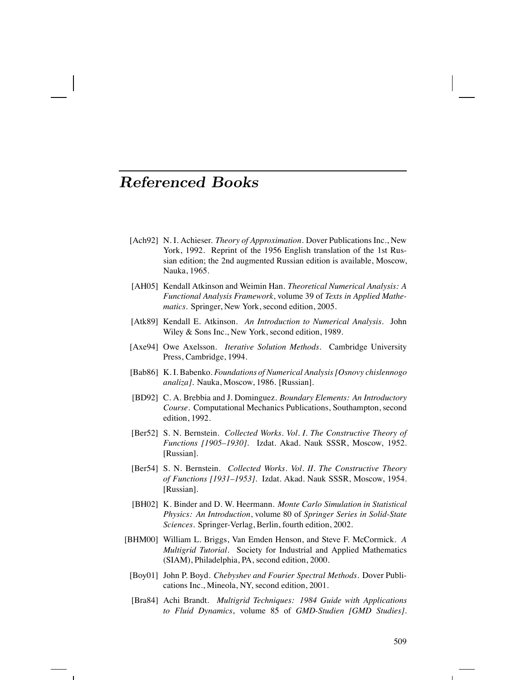- [Ach92] N. I. Achieser. *Theory of Approximation*. Dover Publications Inc., New York, 1992. Reprint of the 1956 English translation of the 1st Russian edition; the 2nd augmented Russian edition is available, Moscow, Nauka, 1965.
- [AH05] Kendall Atkinson and Weimin Han. *Theoretical Numerical Analysis: A Functional Analysis Framework*, volume 39 of *Texts in Applied Mathematics*. Springer, New York, second edition, 2005.
- [Atk89] Kendall E. Atkinson. *An Introduction to Numerical Analysis*. John Wiley & Sons Inc., New York, second edition, 1989.
- [Axe94] Owe Axelsson. *Iterative Solution Methods*. Cambridge University Press, Cambridge, 1994.
- [Bab86] K. I. Babenko. *Foundations of Numerical Analysis [Osnovy chislennogo analiza]*. Nauka, Moscow, 1986. [Russian].
- [BD92] C. A. Brebbia and J. Dominguez. *Boundary Elements: An Introductory Course*. Computational Mechanics Publications, Southampton, second edition, 1992.
- [Ber52] S. N. Bernstein. *Collected Works. Vol. I. The Constructive Theory of Functions [1905–1930]*. Izdat. Akad. Nauk SSSR, Moscow, 1952. [Russian].
- [Ber54] S. N. Bernstein. *Collected Works. Vol. II. The Constructive Theory of Functions [1931–1953]*. Izdat. Akad. Nauk SSSR, Moscow, 1954. [Russian].
- [BH02] K. Binder and D. W. Heermann. *Monte Carlo Simulation in Statistical Physics: An Introduction*, volume 80 of *Springer Series in Solid-State Sciences*. Springer-Verlag, Berlin, fourth edition, 2002.
- [BHM00] William L. Briggs, Van Emden Henson, and Steve F. McCormick. *A Multigrid Tutorial*. Society for Industrial and Applied Mathematics (SIAM), Philadelphia, PA, second edition, 2000.
- [Boy01] John P. Boyd. *Chebyshev and Fourier Spectral Methods*. Dover Publications Inc., Mineola, NY, second edition, 2001.
- [Bra84] Achi Brandt. *Multigrid Techniques: 1984 Guide with Applications to Fluid Dynamics*, volume 85 of *GMD-Studien [GMD Studies]*.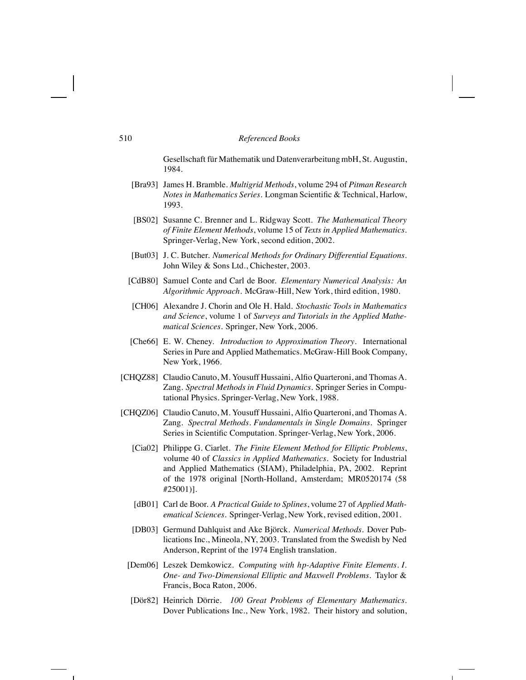Gesellschaft für Mathematik und Datenverarbeitung mbH, St. Augustin, 1984.

- [Bra93] James H. Bramble. *Multigrid Methods*, volume 294 of *Pitman Research Notes in Mathematics Series*. Longman Scientific & Technical, Harlow, 1993.
- [BS02] Susanne C. Brenner and L. Ridgway Scott. *The Mathematical Theory of Finite Element Methods*, volume 15 of *Texts in Applied Mathematics*. Springer-Verlag, New York, second edition, 2002.
- [But03] J. C. Butcher. *Numerical Methods for Ordinary Differential Equations*. John Wiley & Sons Ltd., Chichester, 2003.
- [CdB80] Samuel Conte and Carl de Boor. *Elementary Numerical Analysis: An Algorithmic Approach*. McGraw-Hill, New York, third edition, 1980.
- [CH06] Alexandre J. Chorin and Ole H. Hald. *Stochastic Tools in Mathematics and Science*, volume 1 of *Surveys and Tutorials in the Applied Mathematical Sciences*. Springer, New York, 2006.
- [Che66] E. W. Cheney. *Introduction to Approximation Theory*. International Series in Pure and Applied Mathematics. McGraw-Hill Book Company, New York, 1966.
- [CHQZ88] Claudio Canuto, M. Yousuff Hussaini, Alfio Quarteroni, and Thomas A. Zang. *Spectral Methods in Fluid Dynamics*. Springer Series in Computational Physics. Springer-Verlag, New York, 1988.
- [CHQZ06] Claudio Canuto, M. Yousuff Hussaini, Alfio Quarteroni, and Thomas A. Zang. *Spectral Methods. Fundamentals in Single Domains*. Springer Series in Scientific Computation. Springer-Verlag, New York, 2006.
	- [Cia02] Philippe G. Ciarlet. *The Finite Element Method for Elliptic Problems*, volume 40 of *Classics in Applied Mathematics*. Society for Industrial and Applied Mathematics (SIAM), Philadelphia, PA, 2002. Reprint of the 1978 original [North-Holland, Amsterdam; MR0520174 (58 #25001)].
	- [dB01] Carl de Boor. A Practical Guide to Splines, volume 27 of Applied Math*ematical Sciences*. Springer-Verlag, New York, revised edition, 2001.
	- [DB03] Germund Dahlquist and Ake Björck. *Numerical Methods*. Dover Publications Inc., Mineola, NY, 2003. Translated from the Swedish by Ned Anderson, Reprint of the 1974 English translation.
	- [Dem06] Leszek Demkowicz. *Computing with hp-Adaptive Finite Elements. I. One- and Two-Dimensional Elliptic and Maxwell Problems*. Taylor & Francis, Boca Raton, 2006.
	- [Dör82] Heinrich Dörrie. *100 Great Problems of Elementary Mathematics*. Dover Publications Inc., New York, 1982. Their history and solution,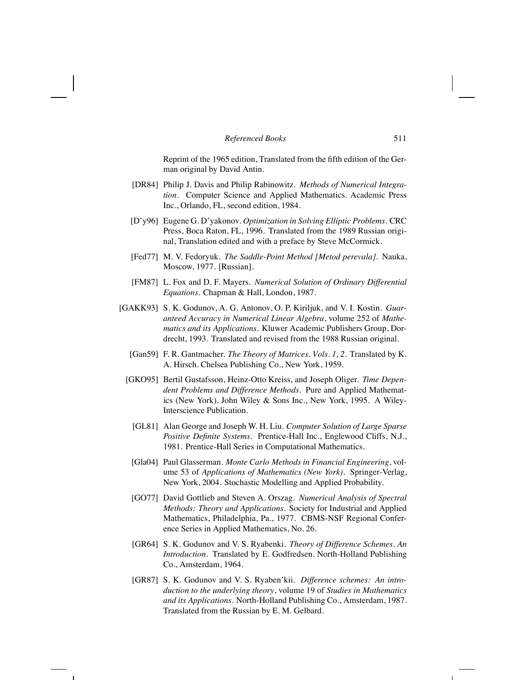Reprint of the 1965 edition, Translated from the fifth edition of the German original by David Antin.

- [DR84] Philip J. Davis and Philip Rabinowitz. *Methods of Numerical Integration*. Computer Science and Applied Mathematics. Academic Press Inc., Orlando, FL, second edition, 1984.
- [D'y96] Eugene G. D'yakonov. *Optimization in Solving Elliptic Problems*. CRC Press, Boca Raton, FL, 1996. Translated from the 1989 Russian original, Translation edited and with a preface by Steve McCormick.
- [Fed77] M. V. Fedoryuk. *The Saddle-Point Method [Metod perevala]*. Nauka, Moscow, 1977. [Russian].
- [FM87] L. Fox and D. F. Mayers. *Numerical Solution of Ordinary Differential Equations*. Chapman & Hall, London, 1987.
- [GAKK93] S. K. Godunov, A. G. Antonov, O. P. Kiriljuk, and V. I. Kostin. *Guaranteed Accuracy in Numerical Linear Algebra*, volume 252 of *Mathematics and its Applications*. Kluwer Academic Publishers Group, Dordrecht, 1993. Translated and revised from the 1988 Russian original.
	- [Gan59] F. R. Gantmacher. *The Theory of Matrices. Vols. 1, 2*. Translated by K. A. Hirsch. Chelsea Publishing Co., New York, 1959.
	- [GKO95] Bertil Gustafsson, Heinz-Otto Kreiss, and Joseph Oliger. *Time Dependent Problems and Difference Methods*. Pure and Applied Mathematics (New York). John Wiley & Sons Inc., New York, 1995. A Wiley-Interscience Publication.
		- [GL81] Alan George and Joseph W. H. Liu. *Computer Solution of Large Sparse Positive Definite Systems*. Prentice-Hall Inc., Englewood Cliffs, N.J., 1981. Prentice-Hall Series in Computational Mathematics.
		- [Gla04] Paul Glasserman. *Monte Carlo Methods in Financial Engineering*, volume 53 of *Applications of Mathematics (New York)*. Springer-Verlag, New York, 2004. Stochastic Modelling and Applied Probability.
		- [GO77] David Gottlieb and Steven A. Orszag. *Numerical Analysis of Spectral Methods: Theory and Applications*. Society for Industrial and Applied Mathematics, Philadelphia, Pa., 1977. CBMS-NSF Regional Conference Series in Applied Mathematics, No. 26.
		- [GR64] S. K. Godunov and V. S. Ryabenki. *Theory of Difference Schemes. An Introduction*. Translated by E. Godfredsen. North-Holland Publishing Co., Amsterdam, 1964.
		- [GR87] S. K. Godunov and V. S. Ryaben'kii. *Difference schemes: An introduction to the underlying theory*, volume 19 of *Studies in Mathematics and its Applications*. North-Holland Publishing Co., Amsterdam, 1987. Translated from the Russian by E. M. Gelbard.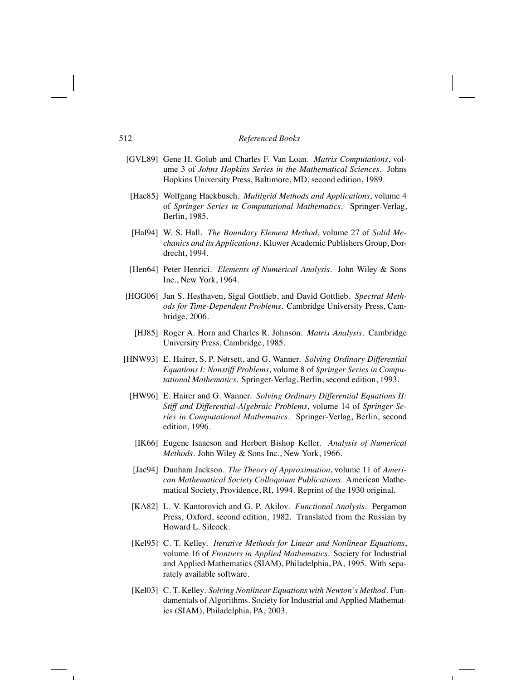- [GVL89] Gene H. Golub and Charles F. Van Loan. *Matrix Computations*, volume 3 of *Johns Hopkins Series in the Mathematical Sciences*. Johns Hopkins University Press, Baltimore, MD, second edition, 1989.
- [Hac85] Wolfgang Hackbusch. *Multigrid Methods and Applications*, volume 4 of *Springer Series in Computational Mathematics*. Springer-Verlag, Berlin, 1985.
- [Hal94] W. S. Hall. *The Boundary Element Method*, volume 27 of *Solid Mechanics and its Applications*. Kluwer Academic Publishers Group, Dordrecht, 1994.
- [Hen64] Peter Henrici. *Elements of Numerical Analysis*. John Wiley & Sons Inc., New York, 1964.
- [HGG06] Jan S. Hesthaven, Sigal Gottlieb, and David Gottlieb. *Spectral Methods for Time-Dependent Problems*. Cambridge University Press, Cambridge, 2006.
	- [HJ85] Roger A. Horn and Charles R. Johnson. *Matrix Analysis*. Cambridge University Press, Cambridge, 1985.
- [HNW93] E. Hairer, S. P. Nørsett, and G. Wanner. *Solving Ordinary Differential Equations I: Nonstiff Problems*, volume 8 of *Springer Series in Computational Mathematics*. Springer-Verlag, Berlin, second edition, 1993.
	- [HW96] E. Hairer and G. Wanner. *Solving Ordinary Differential Equations II: Stiff and Differential-Algebraic Problems*, volume 14 of *Springer Series in Computational Mathematics*. Springer-Verlag, Berlin, second edition, 1996.
	- [IK66] Eugene Isaacson and Herbert Bishop Keller. *Analysis of Numerical Methods*. John Wiley & Sons Inc., New York, 1966.
	- [Jac94] Dunham Jackson. *The Theory of Approximation*, volume 11 of *American Mathematical Society Colloquium Publications*. American Mathematical Society, Providence, RI, 1994. Reprint of the 1930 original.
	- [KA82] L. V. Kantorovich and G. P. Akilov. *Functional Analysis*. Pergamon Press, Oxford, second edition, 1982. Translated from the Russian by Howard L. Silcock.
	- [Kel95] C. T. Kelley. *Iterative Methods for Linear and Nonlinear Equations*, volume 16 of *Frontiers in Applied Mathematics*. Society for Industrial and Applied Mathematics (SIAM), Philadelphia, PA, 1995. With separately available software.
	- [Kel03] C. T. Kelley. *Solving Nonlinear Equations with Newton's Method*. Fundamentals of Algorithms. Society for Industrial and Applied Mathematics (SIAM), Philadelphia, PA, 2003.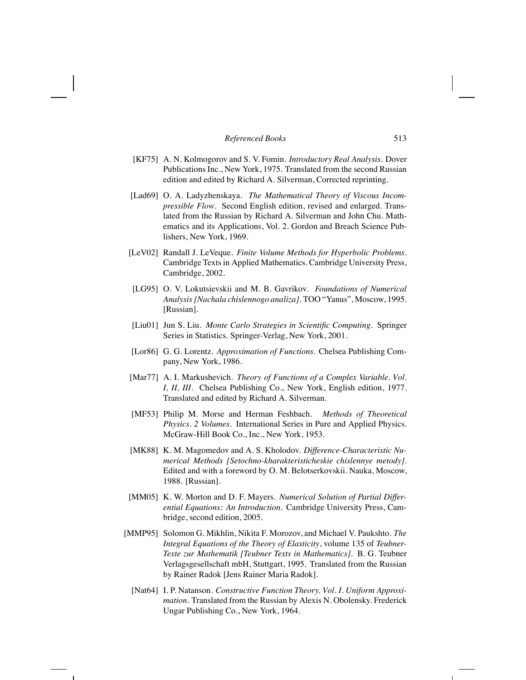- [KF75] A. N. Kolmogorov and S. V. Fomin. *Introductory Real Analysis*. Dover Publications Inc., New York, 1975. Translated from the second Russian edition and edited by Richard A. Silverman, Corrected reprinting.
- [Lad69] O. A. Ladyzhenskaya. *The Mathematical Theory of Viscous Incompressible Flow*. Second English edition, revised and enlarged. Translated from the Russian by Richard A. Silverman and John Chu. Mathematics and its Applications, Vol. 2. Gordon and Breach Science Publishers, New York, 1969.
- [LeV02] Randall J. LeVeque. *Finite Volume Methods for Hyperbolic Problems*. Cambridge Texts in Applied Mathematics. Cambridge University Press, Cambridge, 2002.
- [LG95] O. V. Lokutsievskii and M. B. Gavrikov. *Foundations of Numerical Analysis [Nachala chislennogo analiza]*. TOO "Yanus", Moscow, 1995. [Russian].
- [Liu01] Jun S. Liu. *Monte Carlo Strategies in Scientific Computing*. Springer Series in Statistics. Springer-Verlag, New York, 2001.
- [Lor86] G. G. Lorentz. *Approximation of Functions*. Chelsea Publishing Company, New York, 1986.
- [Mar77] A. I. Markushevich. *Theory of Functions of a Complex Variable. Vol. I, II, III*. Chelsea Publishing Co., New York, English edition, 1977. Translated and edited by Richard A. Silverman.
- [MF53] Philip M. Morse and Herman Feshbach. *Methods of Theoretical Physics. 2 Volumes*. International Series in Pure and Applied Physics. McGraw-Hill Book Co., Inc., New York, 1953.
- [MK88] K. M. Magomedov and A. S. Kholodov. *Difference-Characteristic Numerical Methods [Setochno-kharakteristicheskie chislennye metody]*. Edited and with a foreword by O. M. Belotserkovskii. Nauka, Moscow, 1988. [Russian].
- [MM05] K. W. Morton and D. F. Mayers. *Numerical Solution of Partial Differential Equations: An Introduction*. Cambridge University Press, Cambridge, second edition, 2005.
- [MMP95] Solomon G. Mikhlin, Nikita F. Morozov, and Michael V. Paukshto. *The Integral Equations of the Theory of Elasticity*, volume 135 of *Teubner-Texte zur Mathematik [Teubner Texts in Mathematics]*. B. G. Teubner Verlagsgesellschaft mbH, Stuttgart, 1995. Translated from the Russian by Rainer Radok [Jens Rainer Maria Radok].
	- [Nat64] I. P. Natanson. *Constructive Function Theory. Vol. I. Uniform Approximation*. Translated from the Russian by Alexis N. Obolensky. Frederick Ungar Publishing Co., New York, 1964.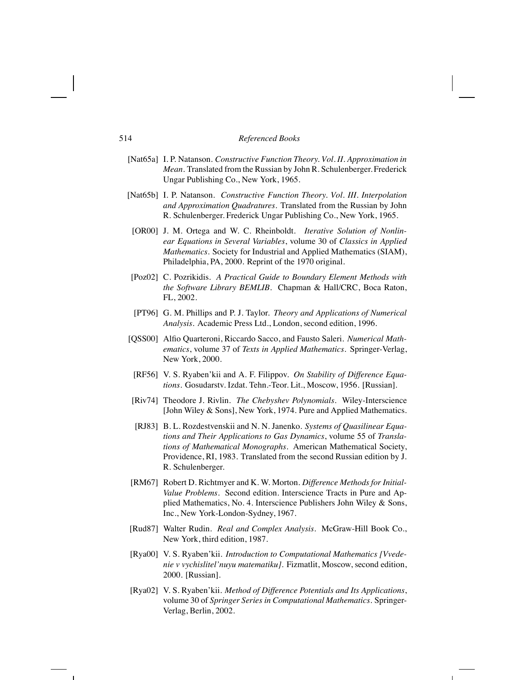- [Nat65a] I. P. Natanson. *Constructive Function Theory. Vol. II. Approximation in Mean*. Translated from the Russian by John R. Schulenberger. Frederick Ungar Publishing Co., New York, 1965.
- [Nat65b] I. P. Natanson. *Constructive Function Theory. Vol. III. Interpolation and Approximation Quadratures*. Translated from the Russian by John R. Schulenberger. Frederick Ungar Publishing Co., New York, 1965.
- [OR00] J. M. Ortega and W. C. Rheinboldt. *Iterative Solution of Nonlinear Equations in Several Variables*, volume 30 of *Classics in Applied Mathematics*. Society for Industrial and Applied Mathematics (SIAM), Philadelphia, PA, 2000. Reprint of the 1970 original.
- [Poz02] C. Pozrikidis. *A Practical Guide to Boundary Element Methods with the Software Library BEMLIB*. Chapman & Hall/CRC, Boca Raton, FL, 2002.
- [PT96] G. M. Phillips and P. J. Taylor. *Theory and Applications of Numerical Analysis*. Academic Press Ltd., London, second edition, 1996.
- [QSS00] Alfio Quarteroni, Riccardo Sacco, and Fausto Saleri. *Numerical Mathematics*, volume 37 of *Texts in Applied Mathematics*. Springer-Verlag, New York, 2000.
- [RF56] V. S. Ryaben'kii and A. F. Filippov. *On Stability of Difference Equations*. Gosudarstv. Izdat. Tehn.-Teor. Lit., Moscow, 1956. [Russian].
- [Riv74] Theodore J. Rivlin. *The Chebyshev Polynomials*. Wiley-Interscience [John Wiley & Sons], New York, 1974. Pure and Applied Mathematics.
- [RJ83] B. L. Rozdestvenskii and N. N. Janenko. *Systems of Quasilinear Equations and Their Applications to Gas Dynamics*, volume 55 of *Translations of Mathematical Monographs*. American Mathematical Society, Providence, RI, 1983. Translated from the second Russian edition by J. R. Schulenberger.
- [RM67] Robert D. Richtmyer and K. W. Morton. *Difference Methods for Initial-Value Problems*. Second edition. Interscience Tracts in Pure and Applied Mathematics, No. 4. Interscience Publishers John Wiley & Sons, Inc., New York-London-Sydney, 1967.
- [Rud87] Walter Rudin. *Real and Complex Analysis*. McGraw-Hill Book Co., New York, third edition, 1987.
- [Rya00] V. S. Ryaben'kii. *Introduction to Computational Mathematics [Vvedenie v vychislitel'nuyu matematiku]*. Fizmatlit, Moscow, second edition, 2000. [Russian].
- [Rya02] V. S. Ryaben'kii. *Method of Difference Potentials and Its Applications*, volume 30 of *Springer Series in Computational Mathematics*. Springer-Verlag, Berlin, 2002.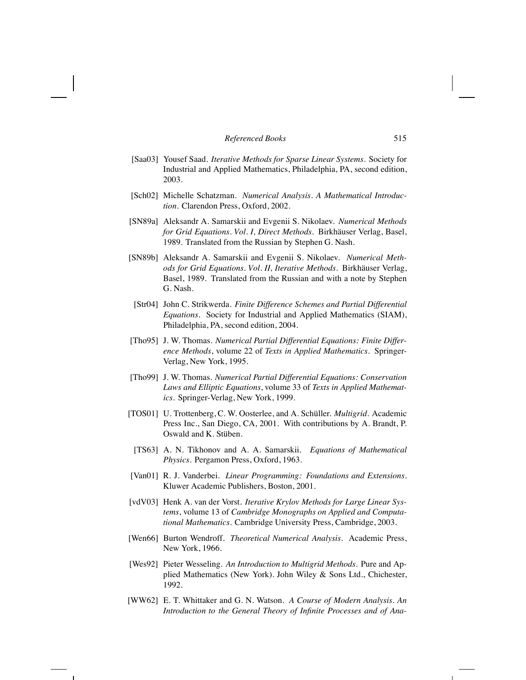- [Saa03] Yousef Saad. *Iterative Methods for Sparse Linear Systems*. Society for Industrial and Applied Mathematics, Philadelphia, PA, second edition, 2003.
- [Sch02] Michelle Schatzman. *Numerical Analysis. A Mathematical Introduction*. Clarendon Press, Oxford, 2002.
- [SN89a] Aleksandr A. Samarskii and Evgenii S. Nikolaev. *Numerical Methods for Grid Equations. Vol. I, Direct Methods. Birkhäuser Verlag, Basel,* 1989. Translated from the Russian by Stephen G. Nash.
- [SN89b] Aleksandr A. Samarskii and Evgenii S. Nikolaev. *Numerical Meth*ods for Grid Equations. Vol. II, Iterative Methods. Birkhäuser Verlag, Basel, 1989. Translated from the Russian and with a note by Stephen G. Nash.
- [Str04] John C. Strikwerda. *Finite Difference Schemes and Partial Differential Equations*. Society for Industrial and Applied Mathematics (SIAM), Philadelphia, PA, second edition, 2004.
- [Tho95] J. W. Thomas. *Numerical Partial Differential Equations: Finite Difference Methods*, volume 22 of *Texts in Applied Mathematics*. Springer-Verlag, New York, 1995.
- [Tho99] J. W. Thomas. *Numerical Partial Differential Equations: Conservation Laws and Elliptic Equations*, volume 33 of *Texts in Applied Mathematics*. Springer-Verlag, New York, 1999.
- [TOS01] U. Trottenberg, C. W. Oosterlee, and A. Schüller. *Multigrid*. Academic Press Inc., San Diego, CA, 2001. With contributions by A. Brandt, P. Oswald and K. Stüben.
- [TS63] A. N. Tikhonov and A. A. Samarskii. *Equations of Mathematical Physics*. Pergamon Press, Oxford, 1963.
- [Van01] R. J. Vanderbei. *Linear Programming: Foundations and Extensions*. Kluwer Academic Publishers, Boston, 2001.
- [vdV03] Henk A. van der Vorst. *Iterative Krylov Methods for Large Linear Systems*, volume 13 of *Cambridge Monographs on Applied and Computational Mathematics*. Cambridge University Press, Cambridge, 2003.
- [Wen66] Burton Wendroff. *Theoretical Numerical Analysis*. Academic Press, New York, 1966.
- [Wes92] Pieter Wesseling. *An Introduction to Multigrid Methods*. Pure and Applied Mathematics (New York). John Wiley & Sons Ltd., Chichester, 1992.
- [WW62] E. T. Whittaker and G. N. Watson. *A Course of Modern Analysis. An Introduction to the General Theory of Infinite Processes and of Ana-*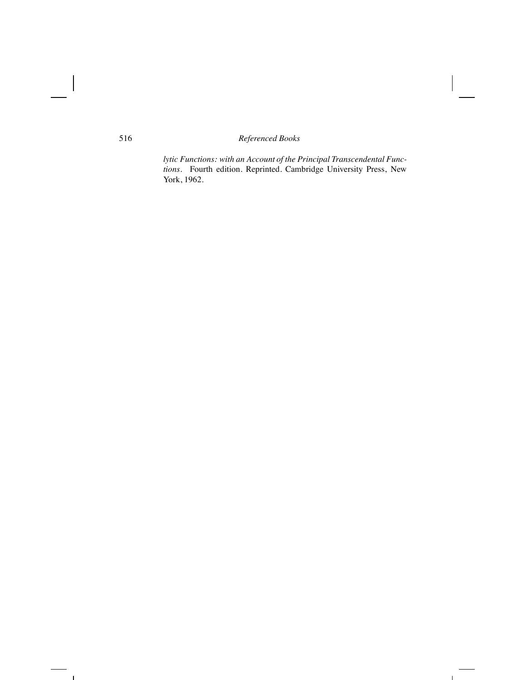*lytic Functions: with an Account of the Principal Transcendental Functions*. Fourth edition. Reprinted. Cambridge University Press, New York, 1962.

 $\mathbf{I}$ 

 $\mathbf{I}$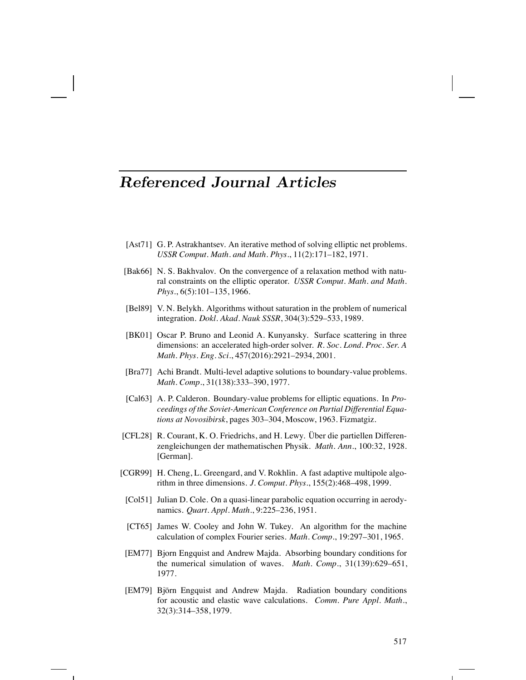## *Referenced Journal Articles*

- [Ast71] G. P. Astrakhantsev. An iterative method of solving elliptic net problems. *USSR Comput. Math. and Math. Phys.*, 11(2):171–182, 1971.
- [Bak66] N. S. Bakhvalov. On the convergence of a relaxation method with natural constraints on the elliptic operator. *USSR Comput. Math. and Math. Phys.*, 6(5):101–135, 1966.
- [Bel89] V. N. Belykh. Algorithms without saturation in the problem of numerical integration. *Dokl. Akad. Nauk SSSR*, 304(3):529–533, 1989.
- [BK01] Oscar P. Bruno and Leonid A. Kunyansky. Surface scattering in three dimensions: an accelerated high-order solver. *R. Soc. Lond. Proc. Ser. A Math. Phys. Eng. Sci.*, 457(2016):2921–2934, 2001.
- [Bra77] Achi Brandt. Multi-level adaptive solutions to boundary-value problems. *Math. Comp.*, 31(138):333–390, 1977.
- [Cal63] A. P. Calderon. Boundary-value problems for elliptic equations. In *Proceedings of the Soviet-American Conference on Partial Differential Equations at Novosibirsk*, pages 303–304, Moscow, 1963. Fizmatgiz.
- [CFL28] R. Courant, K. O. Friedrichs, and H. Lewy. Über die partiellen Differenzengleichungen der mathematischen Physik. *Math. Ann.*, 100:32, 1928. [German].
- [CGR99] H. Cheng, L. Greengard, and V. Rokhlin. A fast adaptive multipole algorithm in three dimensions. *J. Comput. Phys.*, 155(2):468–498, 1999.
- [Col51] Julian D. Cole. On a quasi-linear parabolic equation occurring in aerodynamics. *Quart. Appl. Math.*, 9:225–236, 1951.
- [CT65] James W. Cooley and John W. Tukey. An algorithm for the machine calculation of complex Fourier series. *Math. Comp.*, 19:297–301, 1965.
- [EM77] Bjorn Engquist and Andrew Majda. Absorbing boundary conditions for the numerical simulation of waves. *Math. Comp.*, 31(139):629–651, 1977.
- [EM79] Björn Engquist and Andrew Majda. Radiation boundary conditions for acoustic and elastic wave calculations. *Comm. Pure Appl. Math.*, 32(3):314–358, 1979.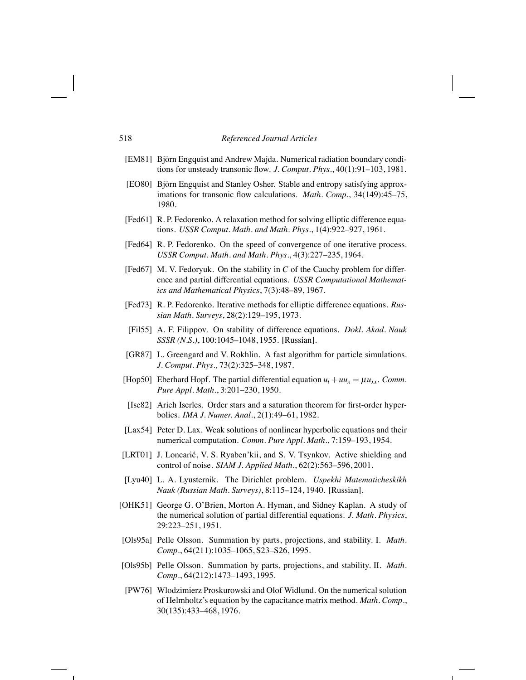#### 518 *Referenced Journal Articles*

- [EM81] Björn Engquist and Andrew Majda. Numerical radiation boundary conditions for unsteady transonic flow. *J. Comput. Phys.*, 40(1):91–103, 1981.
- [EO80] Björn Engquist and Stanley Osher. Stable and entropy satisfying approximations for transonic flow calculations. *Math. Comp.*, 34(149):45–75, 1980.
- [Fed61] R. P. Fedorenko. A relaxation method for solving elliptic difference equations. *USSR Comput. Math. and Math. Phys.*, 1(4):922–927, 1961.
- [Fed64] R. P. Fedorenko. On the speed of convergence of one iterative process. *USSR Comput. Math. and Math. Phys.*, 4(3):227–235, 1964.
- [Fed67] M. V. Fedoryuk. On the stability in *C* of the Cauchy problem for difference and partial differential equations. *USSR Computational Mathematics and Mathematical Physics*, 7(3):48–89, 1967.
- [Fed73] R. P. Fedorenko. Iterative methods for elliptic difference equations. *Russian Math. Surveys*, 28(2):129–195, 1973.
- [Fil55] A. F. Filippov. On stability of difference equations. *Dokl. Akad. Nauk SSSR (N.S.)*, 100:1045–1048, 1955. [Russian].
- [GR87] L. Greengard and V. Rokhlin. A fast algorithm for particle simulations. *J. Comput. Phys.*, 73(2):325–348, 1987.
- [Hop50] Eberhard Hopf. The partial differential equation  $u_t + uu_x = \mu u_{xx}$ . *Comm. Pure Appl. Math.*, 3:201–230, 1950.
- [Ise82] Arieh Iserles. Order stars and a saturation theorem for first-order hyperbolics. *IMA J. Numer. Anal.*, 2(1):49–61, 1982.
- [Lax54] Peter D. Lax. Weak solutions of nonlinear hyperbolic equations and their numerical computation. *Comm. Pure Appl. Math.*, 7:159–193, 1954.
- [LRT01] J. Loncarić, V. S. Ryaben'kii, and S. V. Tsynkov. Active shielding and control of noise. *SIAM J. Applied Math.*, 62(2):563–596, 2001.
- [Lyu40] L. A. Lyusternik. The Dirichlet problem. *Uspekhi Matematicheskikh Nauk (Russian Math. Surveys)*, 8:115–124, 1940. [Russian].
- [OHK51] George G. O'Brien, Morton A. Hyman, and Sidney Kaplan. A study of the numerical solution of partial differential equations. *J. Math. Physics*, 29:223–251, 1951.
- [Ols95a] Pelle Olsson. Summation by parts, projections, and stability. I. *Math. Comp.*, 64(211):1035–1065, S23–S26, 1995.
- [Ols95b] Pelle Olsson. Summation by parts, projections, and stability. II. *Math. Comp.*, 64(212):1473–1493, 1995.
- [PW76] Wlodzimierz Proskurowski and Olof Widlund. On the numerical solution of Helmholtz's equation by the capacitance matrix method. *Math. Comp.*, 30(135):433–468, 1976.